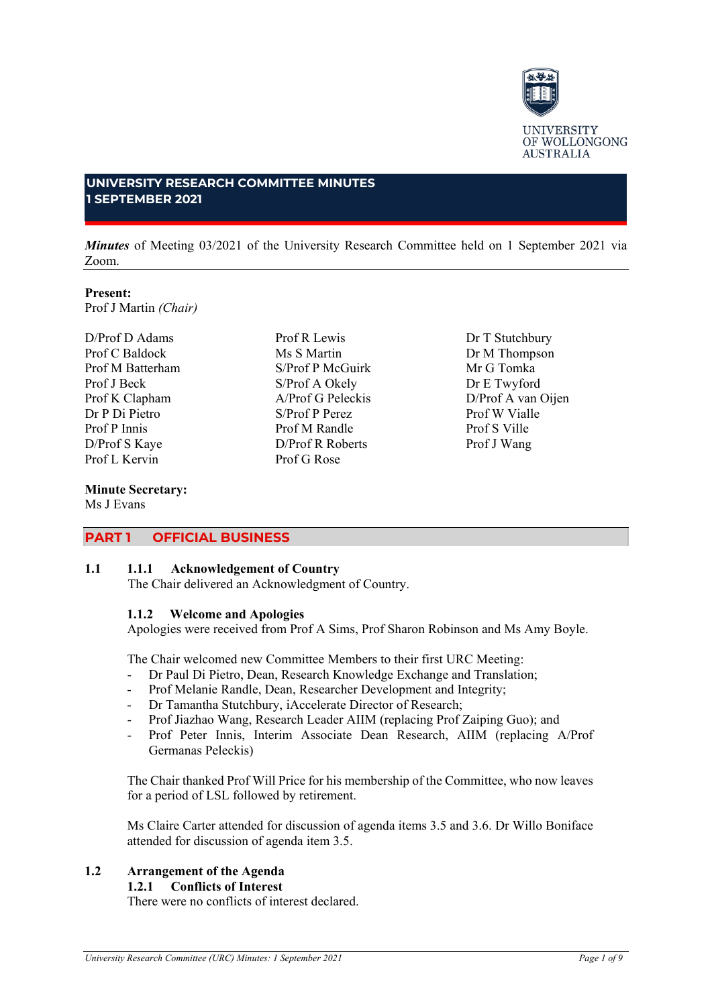

#### **UNIVERSITY RESEARCH COMMITTEE MINUTES 1 SEPTEMBER 2021**

*Minutes* of Meeting 03/2021 of the University Research Committee held on 1 September 2021 via Zoom.

## **Present:**

Prof J Martin *(Chair)*

D/Prof D Adams Prof C Baldock Prof M Batterham Prof J Beck Prof K Clapham Dr P Di Pietro Prof P Innis D/Prof S Kaye Prof L Kervin

## **Minute Secretary:**

Ms J Evans

Prof R Lewis Ms S Martin S/Prof P McGuirk S/Prof A Okely A/Prof G Peleckis S/Prof P Perez Prof M Randle D/Prof R Roberts Prof G Rose

Dr T Stutchbury Dr M Thompson Mr G Tomka Dr E Twyford D/Prof A van Oijen Prof W Vialle Prof S Ville Prof J Wang

## **PART 1 OFFICIAL BUSINESS**

### **1.1 1.1.1 Acknowledgement of Country**

The Chair delivered an Acknowledgment of Country.

## **1.1.2 Welcome and Apologies**

Apologies were received from Prof A Sims, Prof Sharon Robinson and Ms Amy Boyle.

The Chair welcomed new Committee Members to their first URC Meeting:

- Dr Paul Di Pietro, Dean, Research Knowledge Exchange and Translation;
- Prof Melanie Randle, Dean, Researcher Development and Integrity;
- Dr Tamantha Stutchbury, iAccelerate Director of Research;
- Prof Jiazhao Wang, Research Leader AIIM (replacing Prof Zaiping Guo); and
- Prof Peter Innis, Interim Associate Dean Research, AIIM (replacing A/Prof Germanas Peleckis)

The Chair thanked Prof Will Price for his membership of the Committee, who now leaves for a period of LSL followed by retirement.

Ms Claire Carter attended for discussion of agenda items 3.5 and 3.6. Dr Willo Boniface attended for discussion of agenda item 3.5.

# **1.2 Arrangement of the Agenda**

## **1.2.1 Conflicts of Interest**

There were no conflicts of interest declared.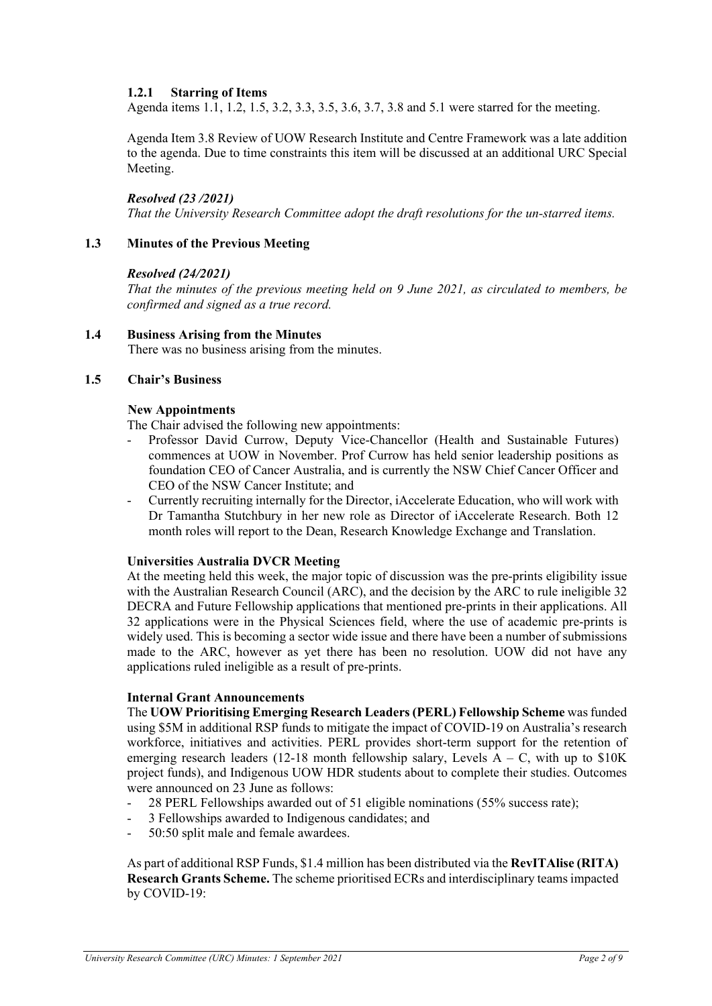## **1.2.1 Starring of Items**

Agenda items 1.1, 1.2, 1.5, 3.2, 3.3, 3.5, 3.6, 3.7, 3.8 and 5.1 were starred for the meeting.

Agenda Item 3.8 Review of UOW Research Institute and Centre Framework was a late addition to the agenda. Due to time constraints this item will be discussed at an additional URC Special Meeting.

### *Resolved (23 /2021)*

*That the University Research Committee adopt the draft resolutions for the un-starred items.*

### **1.3 Minutes of the Previous Meeting**

#### *Resolved (24/2021)*

*That the minutes of the previous meeting held on 9 June 2021, as circulated to members, be confirmed and signed as a true record.*

### **1.4 Business Arising from the Minutes**

There was no business arising from the minutes.

#### **1.5 Chair's Business**

#### **New Appointments**

The Chair advised the following new appointments:

- Professor David Currow, Deputy Vice-Chancellor (Health and Sustainable Futures) commences at UOW in November. Prof Currow has held senior leadership positions as foundation CEO of Cancer Australia, and is currently the NSW Chief Cancer Officer and CEO of the NSW Cancer Institute; and
- Currently recruiting internally for the Director, iAccelerate Education, who will work with Dr Tamantha Stutchbury in her new role as Director of iAccelerate Research. Both 12 month roles will report to the Dean, Research Knowledge Exchange and Translation.

#### **Universities Australia DVCR Meeting**

At the meeting held this week, the major topic of discussion was the pre-prints eligibility issue with the Australian Research Council (ARC), and the decision by the ARC to rule ineligible 32 DECRA and Future Fellowship applications that mentioned pre-prints in their applications. All 32 applications were in the Physical Sciences field, where the use of academic pre-prints is widely used. This is becoming a sector wide issue and there have been a number of submissions made to the ARC, however as yet there has been no resolution. UOW did not have any applications ruled ineligible as a result of pre-prints.

#### **Internal Grant Announcements**

The **UOW Prioritising Emerging Research Leaders (PERL) Fellowship Scheme** was funded using \$5M in additional RSP funds to mitigate the impact of COVID-19 on Australia's research workforce, initiatives and activities. PERL provides short-term support for the retention of emerging research leaders (12-18 month fellowship salary, Levels  $A - C$ , with up to \$10K project funds), and Indigenous UOW HDR students about to complete their studies. Outcomes were announced on 23 June as follows:

- 28 PERL Fellowships awarded out of 51 eligible nominations (55% success rate);
- 3 Fellowships awarded to Indigenous candidates; and
- 50:50 split male and female awardees.

As part of additional RSP Funds, \$1.4 million has been distributed via the **RevITAlise (RITA) Research Grants Scheme.** The scheme prioritised ECRs and interdisciplinary teams impacted by COVID-19: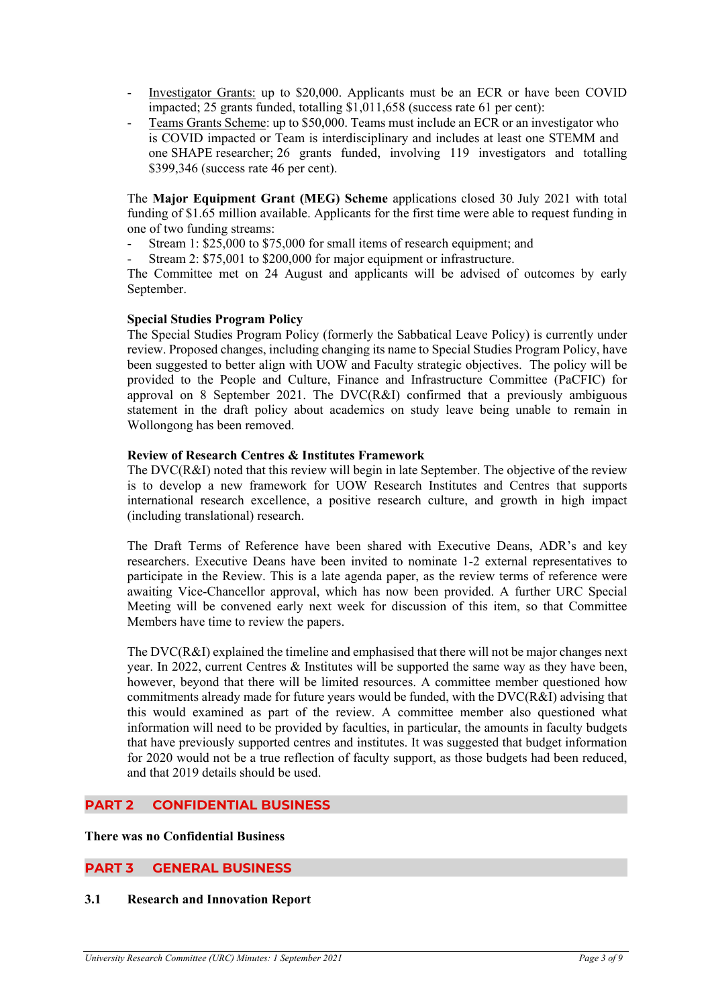- Investigator Grants: up to \$20,000. Applicants must be an ECR or have been COVID impacted; 25 grants funded, totalling \$1,011,658 (success rate 61 per cent):
- Teams Grants Scheme: up to \$50,000. Teams must include an ECR or an investigator who is COVID impacted or Team is interdisciplinary and includes at least one STEMM and one SHAPE researcher; 26 grants funded, involving 119 investigators and totalling \$399,346 (success rate 46 per cent).

The **Major Equipment Grant (MEG) Scheme** applications closed 30 July 2021 with total funding of \$1.65 million available. Applicants for the first time were able to request funding in one of two funding streams:

- Stream 1: \$25,000 to \$75,000 for small items of research equipment; and
- Stream 2: \$75,001 to \$200,000 for major equipment or infrastructure.

The Committee met on 24 August and applicants will be advised of outcomes by early September.

#### **Special Studies Program Policy**

The Special Studies Program Policy (formerly the Sabbatical Leave Policy) is currently under review. Proposed changes, including changing its name to Special Studies Program Policy, have been suggested to better align with UOW and Faculty strategic objectives. The policy will be provided to the People and Culture, Finance and Infrastructure Committee (PaCFIC) for approval on 8 September 2021. The DVC(R&I) confirmed that a previously ambiguous statement in the draft policy about academics on study leave being unable to remain in Wollongong has been removed.

### **Review of Research Centres & Institutes Framework**

The DVC(R&I) noted that this review will begin in late September. The objective of the review is to develop a new framework for UOW Research Institutes and Centres that supports international research excellence, a positive research culture, and growth in high impact (including translational) research.

The Draft Terms of Reference have been shared with Executive Deans, ADR's and key researchers. Executive Deans have been invited to nominate 1-2 external representatives to participate in the Review. This is a late agenda paper, as the review terms of reference were awaiting Vice-Chancellor approval, which has now been provided. A further URC Special Meeting will be convened early next week for discussion of this item, so that Committee Members have time to review the papers.

The DVC(R&I) explained the timeline and emphasised that there will not be major changes next year. In 2022, current Centres & Institutes will be supported the same way as they have been, however, beyond that there will be limited resources. A committee member questioned how commitments already made for future years would be funded, with the DVC(R&I) advising that this would examined as part of the review. A committee member also questioned what information will need to be provided by faculties, in particular, the amounts in faculty budgets that have previously supported centres and institutes. It was suggested that budget information for 2020 would not be a true reflection of faculty support, as those budgets had been reduced, and that 2019 details should be used.

## **PART 2 CONFIDENTIAL BUSINESS**

### **There was no Confidential Business**

## **PART 3 GENERAL BUSINESS**

#### **3.1 Research and Innovation Report**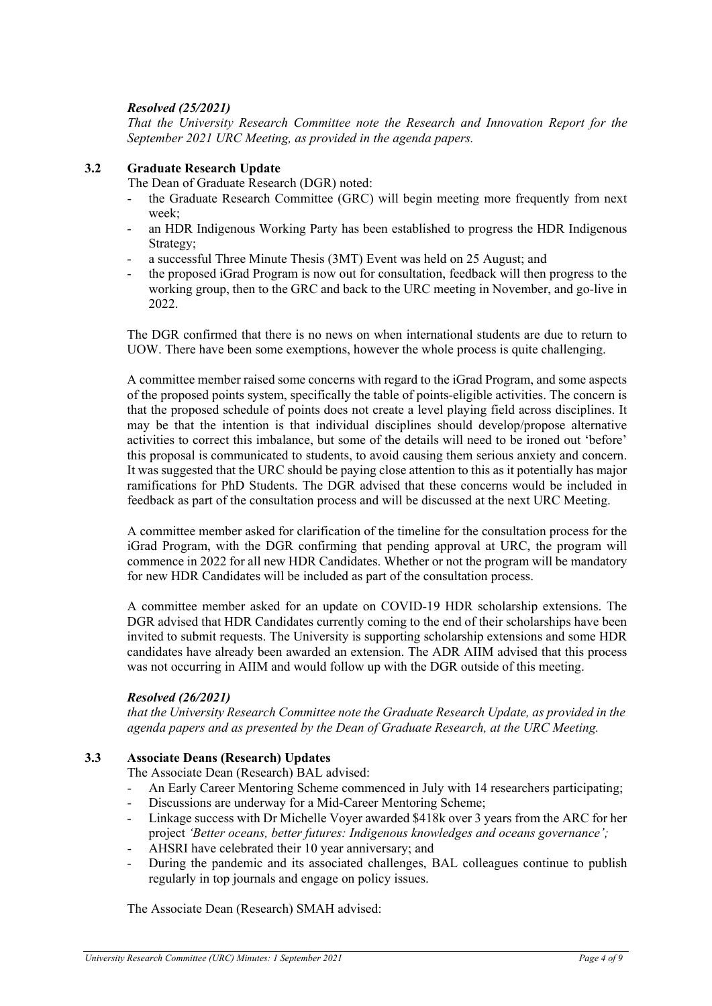## *Resolved (25/2021)*

*That the University Research Committee note the Research and Innovation Report for the September 2021 URC Meeting, as provided in the agenda papers.*

### **3.2 Graduate Research Update**

The Dean of Graduate Research (DGR) noted:

- the Graduate Research Committee (GRC) will begin meeting more frequently from next week;
- an HDR Indigenous Working Party has been established to progress the HDR Indigenous Strategy;
- a successful Three Minute Thesis (3MT) Event was held on 25 August; and
- the proposed iGrad Program is now out for consultation, feedback will then progress to the working group, then to the GRC and back to the URC meeting in November, and go-live in 2022.

The DGR confirmed that there is no news on when international students are due to return to UOW. There have been some exemptions, however the whole process is quite challenging.

A committee member raised some concerns with regard to the iGrad Program, and some aspects of the proposed points system, specifically the table of points-eligible activities. The concern is that the proposed schedule of points does not create a level playing field across disciplines. It may be that the intention is that individual disciplines should develop/propose alternative activities to correct this imbalance, but some of the details will need to be ironed out 'before' this proposal is communicated to students, to avoid causing them serious anxiety and concern. It was suggested that the URC should be paying close attention to this as it potentially has major ramifications for PhD Students. The DGR advised that these concerns would be included in feedback as part of the consultation process and will be discussed at the next URC Meeting.

A committee member asked for clarification of the timeline for the consultation process for the iGrad Program, with the DGR confirming that pending approval at URC, the program will commence in 2022 for all new HDR Candidates. Whether or not the program will be mandatory for new HDR Candidates will be included as part of the consultation process.

A committee member asked for an update on COVID-19 HDR scholarship extensions. The DGR advised that HDR Candidates currently coming to the end of their scholarships have been invited to submit requests. The University is supporting scholarship extensions and some HDR candidates have already been awarded an extension. The ADR AIIM advised that this process was not occurring in AIIM and would follow up with the DGR outside of this meeting.

#### *Resolved (26/2021)*

*that the University Research Committee note the Graduate Research Update, as provided in the agenda papers and as presented by the Dean of Graduate Research, at the URC Meeting.*

## **3.3 Associate Deans (Research) Updates**

The Associate Dean (Research) BAL advised:

- An Early Career Mentoring Scheme commenced in July with 14 researchers participating;
- Discussions are underway for a Mid-Career Mentoring Scheme;
- Linkage success with Dr Michelle Voyer awarded \$418k over 3 years from the ARC for her project *'Better oceans, better futures: Indigenous knowledges and oceans governance';*
- AHSRI have celebrated their 10 year anniversary; and
- During the pandemic and its associated challenges, BAL colleagues continue to publish regularly in top journals and engage on policy issues.

The Associate Dean (Research) SMAH advised: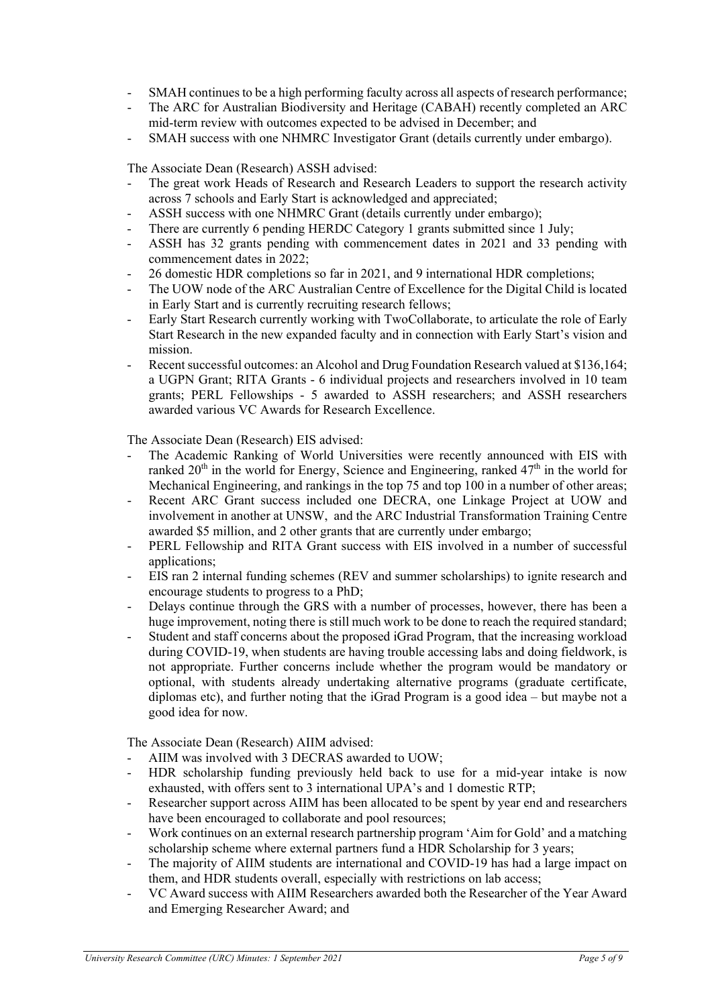- SMAH continues to be a high performing faculty across all aspects of research performance;
- The ARC for Australian Biodiversity and Heritage (CABAH) recently completed an ARC mid-term review with outcomes expected to be advised in December; and
- SMAH success with one NHMRC Investigator Grant (details currently under embargo).

The Associate Dean (Research) ASSH advised:

- The great work Heads of Research and Research Leaders to support the research activity across 7 schools and Early Start is acknowledged and appreciated;
- ASSH success with one NHMRC Grant (details currently under embargo);
- There are currently 6 pending HERDC Category 1 grants submitted since 1 July;
- ASSH has 32 grants pending with commencement dates in 2021 and 33 pending with commencement dates in 2022;
- 26 domestic HDR completions so far in 2021, and 9 international HDR completions;
- The UOW node of the ARC Australian Centre of Excellence for the Digital Child is located in Early Start and is currently recruiting research fellows;
- Early Start Research currently working with TwoCollaborate, to articulate the role of Early Start Research in the new expanded faculty and in connection with Early Start's vision and mission.
- Recent successful outcomes: an Alcohol and Drug Foundation Research valued at \$136,164; a UGPN Grant; RITA Grants - 6 individual projects and researchers involved in 10 team grants; PERL Fellowships - 5 awarded to ASSH researchers; and ASSH researchers awarded various VC Awards for Research Excellence.

The Associate Dean (Research) EIS advised:

- The Academic Ranking of World Universities were recently announced with EIS with ranked  $20<sup>th</sup>$  in the world for Energy, Science and Engineering, ranked  $47<sup>th</sup>$  in the world for Mechanical Engineering, and rankings in the top 75 and top 100 in a number of other areas;
- Recent ARC Grant success included one DECRA, one Linkage Project at UOW and involvement in another at UNSW, and the ARC Industrial Transformation Training Centre awarded \$5 million, and 2 other grants that are currently under embargo;
- PERL Fellowship and RITA Grant success with EIS involved in a number of successful applications;
- EIS ran 2 internal funding schemes (REV and summer scholarships) to ignite research and encourage students to progress to a PhD;
- Delays continue through the GRS with a number of processes, however, there has been a huge improvement, noting there is still much work to be done to reach the required standard;
- Student and staff concerns about the proposed iGrad Program, that the increasing workload during COVID-19, when students are having trouble accessing labs and doing fieldwork, is not appropriate. Further concerns include whether the program would be mandatory or optional, with students already undertaking alternative programs (graduate certificate, diplomas etc), and further noting that the iGrad Program is a good idea – but maybe not a good idea for now.

The Associate Dean (Research) AIIM advised:

- AIIM was involved with 3 DECRAS awarded to UOW;
- HDR scholarship funding previously held back to use for a mid-year intake is now exhausted, with offers sent to 3 international UPA's and 1 domestic RTP;
- Researcher support across AIIM has been allocated to be spent by year end and researchers have been encouraged to collaborate and pool resources;
- Work continues on an external research partnership program 'Aim for Gold' and a matching scholarship scheme where external partners fund a HDR Scholarship for 3 years;
- The majority of AIIM students are international and COVID-19 has had a large impact on them, and HDR students overall, especially with restrictions on lab access;
- VC Award success with AIIM Researchers awarded both the Researcher of the Year Award and Emerging Researcher Award; and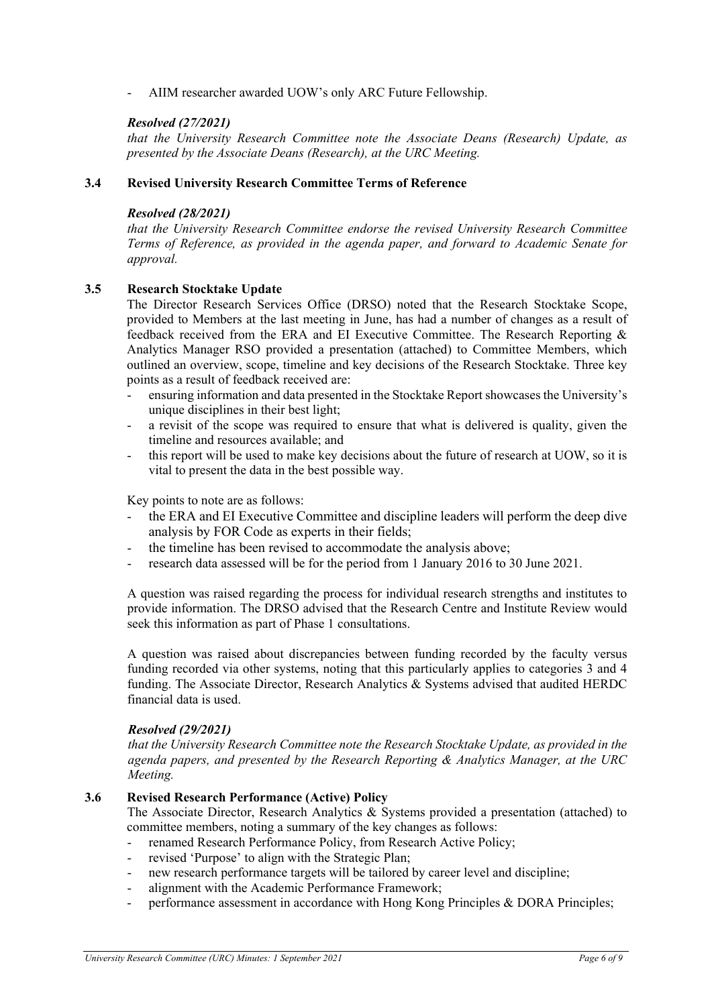AIIM researcher awarded UOW's only ARC Future Fellowship.

### *Resolved (27/2021)*

*that the University Research Committee note the Associate Deans (Research) Update, as presented by the Associate Deans (Research), at the URC Meeting.*

#### **3.4 Revised University Research Committee Terms of Reference**

#### *Resolved (28/2021)*

*that the University Research Committee endorse the revised University Research Committee Terms of Reference, as provided in the agenda paper, and forward to Academic Senate for approval.*

### **3.5 Research Stocktake Update**

The Director Research Services Office (DRSO) noted that the Research Stocktake Scope, provided to Members at the last meeting in June, has had a number of changes as a result of feedback received from the ERA and EI Executive Committee. The Research Reporting & Analytics Manager RSO provided a presentation (attached) to Committee Members, which outlined an overview, scope, timeline and key decisions of the Research Stocktake. Three key points as a result of feedback received are:

- ensuring information and data presented in the Stocktake Report showcases the University's unique disciplines in their best light;
- a revisit of the scope was required to ensure that what is delivered is quality, given the timeline and resources available; and
- this report will be used to make key decisions about the future of research at UOW, so it is vital to present the data in the best possible way.

Key points to note are as follows:

- the ERA and EI Executive Committee and discipline leaders will perform the deep dive analysis by FOR Code as experts in their fields;
- the timeline has been revised to accommodate the analysis above;
- research data assessed will be for the period from 1 January 2016 to 30 June 2021.

A question was raised regarding the process for individual research strengths and institutes to provide information. The DRSO advised that the Research Centre and Institute Review would seek this information as part of Phase 1 consultations.

A question was raised about discrepancies between funding recorded by the faculty versus funding recorded via other systems, noting that this particularly applies to categories 3 and 4 funding. The Associate Director, Research Analytics & Systems advised that audited HERDC financial data is used.

#### *Resolved (29/2021)*

*that the University Research Committee note the Research Stocktake Update, as provided in the agenda papers, and presented by the Research Reporting & Analytics Manager, at the URC Meeting.*

#### **3.6 Revised Research Performance (Active) Policy**

The Associate Director, Research Analytics & Systems provided a presentation (attached) to committee members, noting a summary of the key changes as follows:

- renamed Research Performance Policy, from Research Active Policy;
- revised 'Purpose' to align with the Strategic Plan;
- new research performance targets will be tailored by career level and discipline;
- alignment with the Academic Performance Framework;
- performance assessment in accordance with Hong Kong Principles & DORA Principles;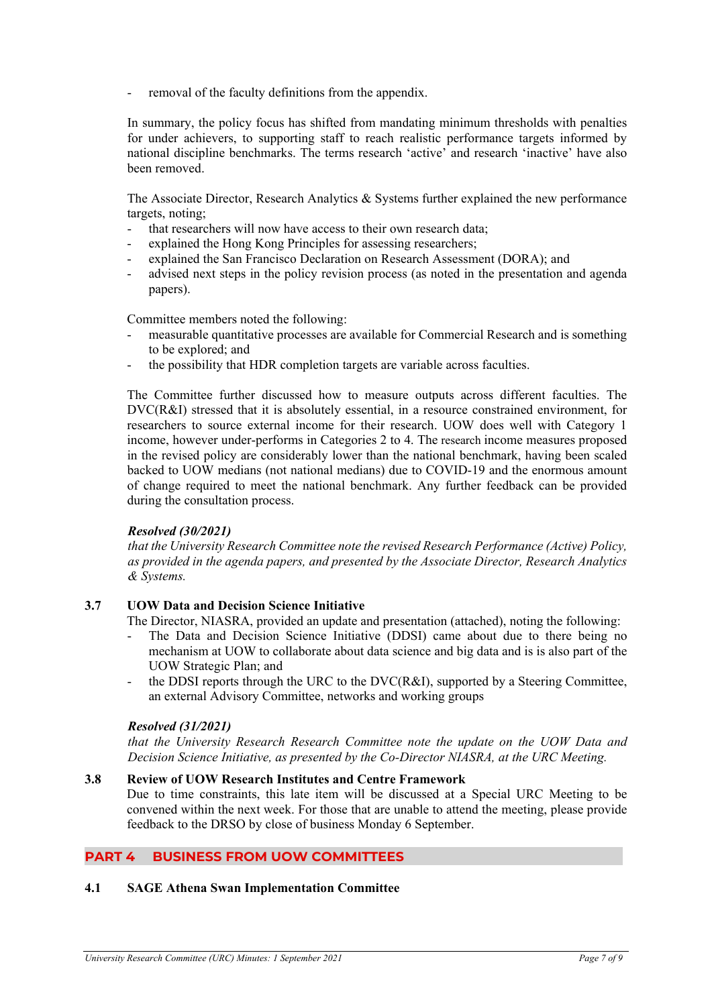removal of the faculty definitions from the appendix.

In summary, the policy focus has shifted from mandating minimum thresholds with penalties for under achievers, to supporting staff to reach realistic performance targets informed by national discipline benchmarks. The terms research 'active' and research 'inactive' have also been removed.

The Associate Director, Research Analytics & Systems further explained the new performance targets, noting;

- that researchers will now have access to their own research data;
- explained the Hong Kong Principles for assessing researchers;
- explained the San Francisco Declaration on Research Assessment (DORA); and
- advised next steps in the policy revision process (as noted in the presentation and agenda papers).

Committee members noted the following:

- measurable quantitative processes are available for Commercial Research and is something to be explored; and
- the possibility that HDR completion targets are variable across faculties.

The Committee further discussed how to measure outputs across different faculties. The DVC(R&I) stressed that it is absolutely essential, in a resource constrained environment, for researchers to source external income for their research. UOW does well with Category 1 income, however under-performs in Categories 2 to 4. The research income measures proposed in the revised policy are considerably lower than the national benchmark, having been scaled backed to UOW medians (not national medians) due to COVID-19 and the enormous amount of change required to meet the national benchmark. Any further feedback can be provided during the consultation process.

#### *Resolved (30/2021)*

*that the University Research Committee note the revised Research Performance (Active) Policy, as provided in the agenda papers, and presented by the Associate Director, Research Analytics & Systems.*

#### **3.7 UOW Data and Decision Science Initiative**

The Director, NIASRA, provided an update and presentation (attached), noting the following:

- The Data and Decision Science Initiative (DDSI) came about due to there being no mechanism at UOW to collaborate about data science and big data and is is also part of the UOW Strategic Plan; and
- the DDSI reports through the URC to the  $DVC(R&I)$ , supported by a Steering Committee, an external Advisory Committee, networks and working groups

#### *Resolved (31/2021)*

*that the University Research Research Committee note the update on the UOW Data and Decision Science Initiative, as presented by the Co-Director NIASRA, at the URC Meeting.*

#### **3.8 Review of UOW Research Institutes and Centre Framework**

Due to time constraints, this late item will be discussed at a Special URC Meeting to be convened within the next week. For those that are unable to attend the meeting, please provide feedback to the DRSO by close of business Monday 6 September.

## **PART 4 BUSINESS FROM UOW COMMITTEES**

#### **4.1 SAGE Athena Swan Implementation Committee**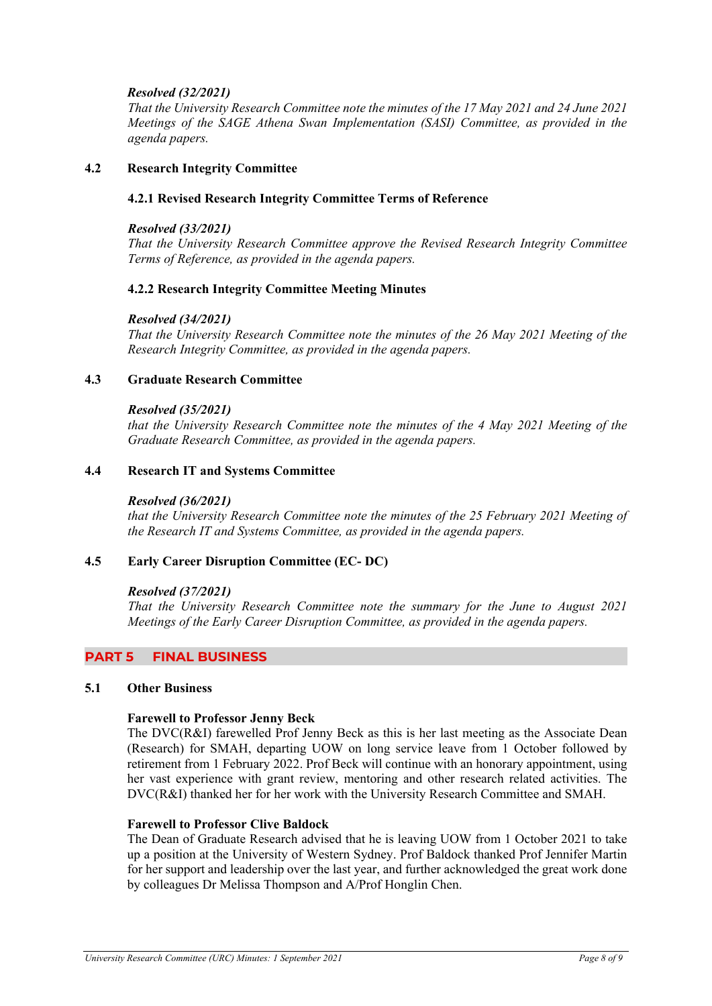## *Resolved (32/2021)*

*That the University Research Committee note the minutes of the 17 May 2021 and 24 June 2021 Meetings of the SAGE Athena Swan Implementation (SASI) Committee, as provided in the agenda papers.*

### **4.2 Research Integrity Committee**

#### **4.2.1 Revised Research Integrity Committee Terms of Reference**

#### *Resolved (33/2021)*

*That the University Research Committee approve the Revised Research Integrity Committee Terms of Reference, as provided in the agenda papers.*

#### **4.2.2 Research Integrity Committee Meeting Minutes**

#### *Resolved (34/2021)*

*That the University Research Committee note the minutes of the 26 May 2021 Meeting of the Research Integrity Committee, as provided in the agenda papers.*

#### **4.3 Graduate Research Committee**

#### *Resolved (35/2021)*

*that the University Research Committee note the minutes of the 4 May 2021 Meeting of the Graduate Research Committee, as provided in the agenda papers.*

#### **4.4 Research IT and Systems Committee**

#### *Resolved (36/2021)*

*that the University Research Committee note the minutes of the 25 February 2021 Meeting of the Research IT and Systems Committee, as provided in the agenda papers.*

### **4.5 Early Career Disruption Committee (EC- DC)**

#### *Resolved (37/2021)*

*That the University Research Committee note the summary for the June to August 2021 Meetings of the Early Career Disruption Committee, as provided in the agenda papers.*

#### **PART 5 FINAL BUSINESS**

#### **5.1 Other Business**

#### **Farewell to Professor Jenny Beck**

The DVC(R&I) farewelled Prof Jenny Beck as this is her last meeting as the Associate Dean (Research) for SMAH, departing UOW on long service leave from 1 October followed by retirement from 1 February 2022. Prof Beck will continue with an honorary appointment, using her vast experience with grant review, mentoring and other research related activities. The DVC(R&I) thanked her for her work with the University Research Committee and SMAH.

#### **Farewell to Professor Clive Baldock**

The Dean of Graduate Research advised that he is leaving UOW from 1 October 2021 to take up a position at the University of Western Sydney. Prof Baldock thanked Prof Jennifer Martin for her support and leadership over the last year, and further acknowledged the great work done by colleagues Dr Melissa Thompson and A/Prof Honglin Chen.